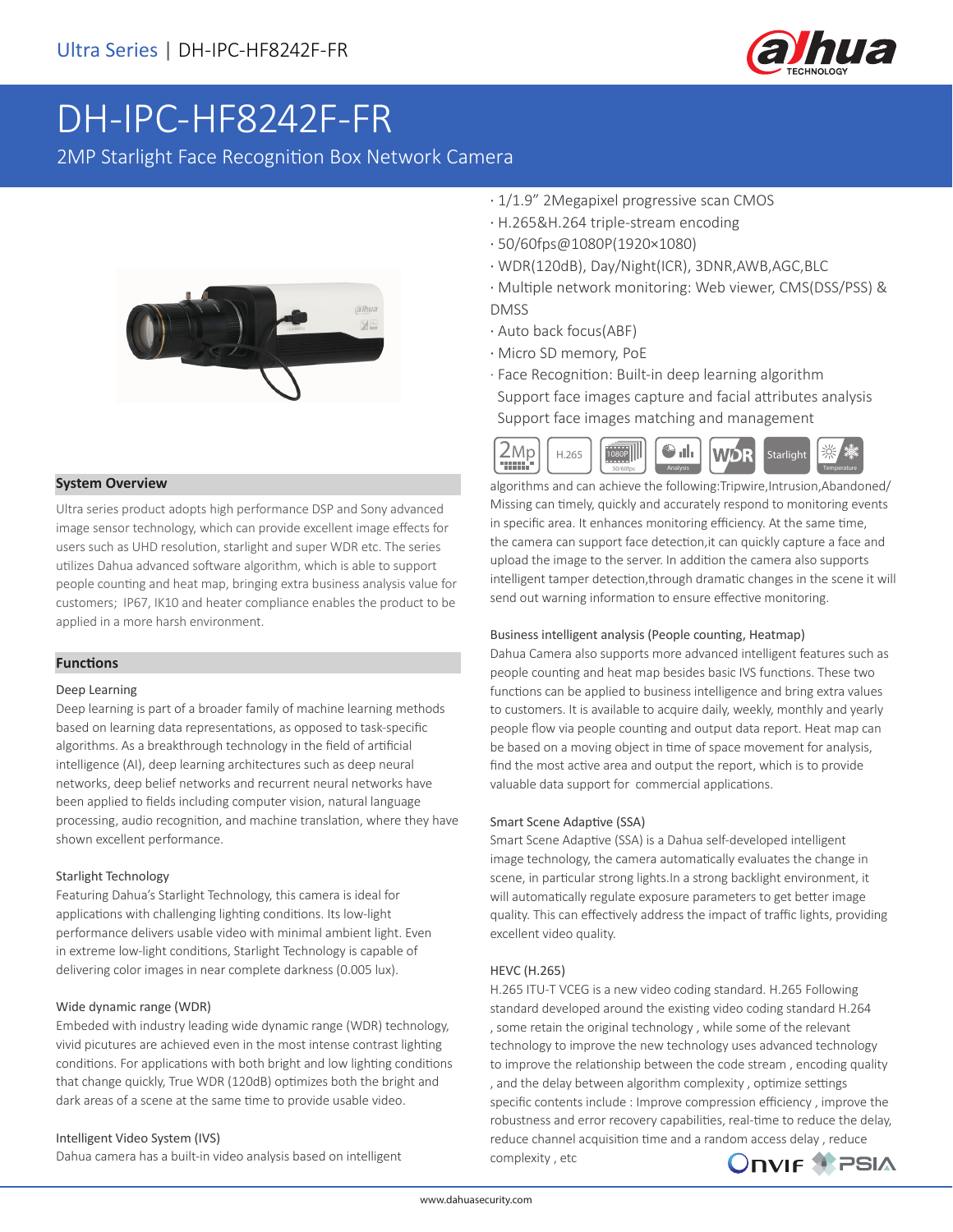

# DH-IPC-HF8242F-FR

2MP Starlight Face Recognition Box Network Camera



#### **System Overview**

Ultra series product adopts high performance DSP and Sony advanced image sensor technology, which can provide excellent image effects for users such as UHD resolution, starlight and super WDR etc. The series utilizes Dahua advanced software algorithm, which is able to support people counting and heat map, bringing extra business analysis value for customers; IP67, IK10 and heater compliance enables the product to be applied in a more harsh environment.

#### **Functions**

#### Deep Learning

Deep learning is part of a broader family of machine learning methods based on learning data representations, as opposed to task-specific algorithms. As a breakthrough technology in the field of artificial intelligence (AI), deep learning architectures such as deep neural networks, deep belief networks and recurrent neural networks have been applied to fields including computer vision, natural language processing, audio recognition, and machine translation, where they have shown excellent performance.

#### Starlight Technology

Featuring Dahua's Starlight Technology, this camera is ideal for applications with challenging lighting conditions. Its low-light performance delivers usable video with minimal ambient light. Even in extreme low-light conditions, Starlight Technology is capable of delivering color images in near complete darkness (0.005 lux).

#### Wide dynamic range (WDR)

Embeded with industry leading wide dynamic range (WDR) technology, vivid picutures are achieved even in the most intense contrast lighting conditions. For applications with both bright and low lighting conditions that change quickly, True WDR (120dB) optimizes both the bright and dark areas of a scene at the same time to provide usable video.

#### Intelligent Video System (IVS)

Dahua camera has a built-in video analysis based on intelligent

- · 1/1.9" 2Megapixel progressive scan CMOS
- · H.265&H.264 triple-stream encoding
- · 50/60fps@1080P(1920×1080)
- · WDR(120dB), Day/Night(ICR), 3DNR,AWB,AGC,BLC
- · Multiple network monitoring: Web viewer, CMS(DSS/PSS) & DMSS
- · Auto back focus(ABF)
- · Micro SD memory, PoE
- · Face Recognition: Built-in deep learning algorithm Support face images capture and facial attributes analysis

Support face images matching and management



algorithms and can achieve the following:Tripwire,Intrusion,Abandoned/ Missing can timely, quickly and accurately respond to monitoring events in specific area. It enhances monitoring efficiency. At the same time, the camera can support face detection,it can quickly capture a face and upload the image to the server. In addition the camera also supports intelligent tamper detection,through dramatic changes in the scene it will send out warning information to ensure effective monitoring.

#### Business intelligent analysis (People counting, Heatmap)

Dahua Camera also supports more advanced intelligent features such as people counting and heat map besides basic IVS functions. These two functions can be applied to business intelligence and bring extra values to customers. It is available to acquire daily, weekly, monthly and yearly people flow via people counting and output data report. Heat map can be based on a moving object in time of space movement for analysis, find the most active area and output the report, which is to provide valuable data support for commercial applications.

#### Smart Scene Adaptive (SSA)

Smart Scene Adaptive (SSA) is a Dahua self-developed intelligent image technology, the camera automatically evaluates the change in scene, in particular strong lights.In a strong backlight environment, it will automatically regulate exposure parameters to get better image quality. This can effectively address the impact of traffic lights, providing excellent video quality.

#### HEVC (H.265)

H.265 ITU-T VCEG is a new video coding standard. H.265 Following standard developed around the existing video coding standard H.264 , some retain the original technology , while some of the relevant technology to improve the new technology uses advanced technology to improve the relationship between the code stream , encoding quality , and the delay between algorithm complexity , optimize settings specific contents include : Improve compression efficiency , improve the robustness and error recovery capabilities, real-time to reduce the delay, reduce channel acquisition time and a random access delay , reduce complexity , etc

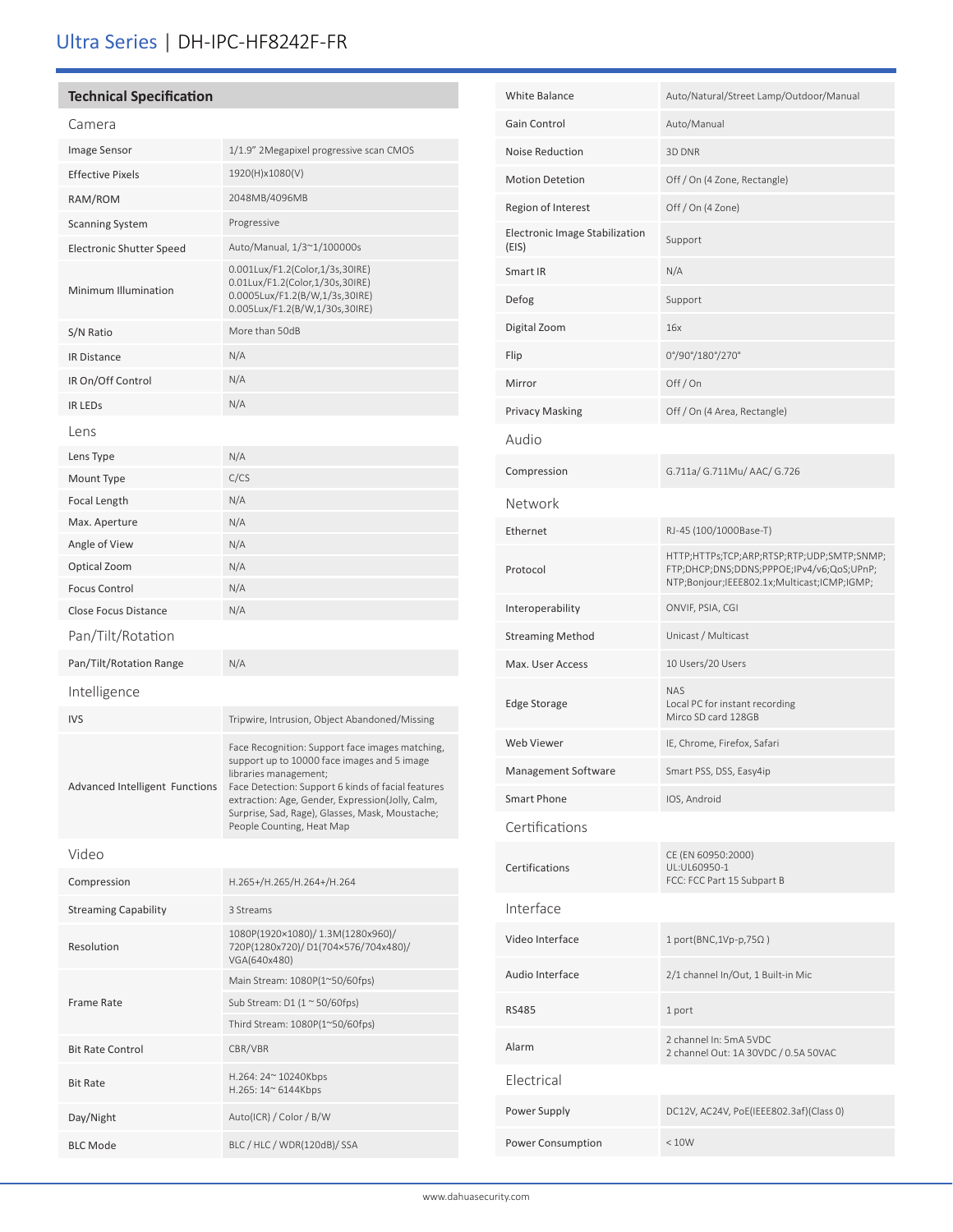# Ultra Series | DH-IPC-HF8242F-FR

## **Technical Specification**

## Camera

| Image Sensor                          | 1/1.9" 2Megapixel progressive scan CMOS                                                                                                                                       |
|---------------------------------------|-------------------------------------------------------------------------------------------------------------------------------------------------------------------------------|
| <b>Effective Pixels</b>               | 1920(H)x1080(V)                                                                                                                                                               |
| RAM/ROM                               | 2048MB/4096MB                                                                                                                                                                 |
| <b>Scanning System</b>                | Progressive                                                                                                                                                                   |
| Electronic Shutter Speed              | Auto/Manual, 1/3~1/100000s                                                                                                                                                    |
| Minimum Illumination                  | 0.001Lux/F1.2(Color,1/3s,30IRE)<br>0.01Lux/F1.2(Color,1/30s,30IRE)<br>0.0005Lux/F1.2(B/W,1/3s,30IRE)<br>0.005Lux/F1.2(B/W,1/30s,30IRE)                                        |
| S/N Ratio                             | More than 50dB                                                                                                                                                                |
| <b>IR Distance</b>                    | N/A                                                                                                                                                                           |
| IR On/Off Control                     | N/A                                                                                                                                                                           |
| <b>IR LEDS</b>                        | N/A                                                                                                                                                                           |
| Lens                                  |                                                                                                                                                                               |
| Lens Type                             | N/A                                                                                                                                                                           |
| Mount Type                            | C/CS                                                                                                                                                                          |
| Focal Length                          | N/A                                                                                                                                                                           |
| Max. Aperture                         | N/A                                                                                                                                                                           |
| Angle of View                         | N/A                                                                                                                                                                           |
| Optical Zoom                          | N/A                                                                                                                                                                           |
| <b>Focus Control</b>                  | N/A                                                                                                                                                                           |
| <b>Close Focus Distance</b>           | N/A                                                                                                                                                                           |
| Pan/Tilt/Rotation                     |                                                                                                                                                                               |
| Pan/Tilt/Rotation Range               | N/A                                                                                                                                                                           |
| Intelligence                          |                                                                                                                                                                               |
| <b>IVS</b>                            | Tripwire, Intrusion, Object Abandoned/Missing                                                                                                                                 |
| <b>Advanced Intelligent Functions</b> | Face Recognition: Support face images matching,<br>support up to 10000 face images and 5 image<br>libraries management;<br>Face Detection: Support 6 kinds of facial features |
|                                       | extraction: Age, Gender, Expression(Jolly, Calm,<br>Surprise, Sad, Rage), Glasses, Mask, Moustache;<br>People Counting, Heat Map                                              |
| Video                                 |                                                                                                                                                                               |
| Compression                           | H.265+/H.265/H.264+/H.264                                                                                                                                                     |
| <b>Streaming Capability</b>           | 3 Streams                                                                                                                                                                     |
| Resolution                            | 1080P(1920×1080)/1.3M(1280x960)/<br>720P(1280x720)/D1(704x576/704x480)/<br>VGA(640x480)                                                                                       |
|                                       | Main Stream: 1080P(1~50/60fps)                                                                                                                                                |
| Frame Rate                            | Sub Stream: D1 $(1 \approx 50/60$ fps)                                                                                                                                        |
|                                       | Third Stream: 1080P(1~50/60fps)                                                                                                                                               |
| <b>Bit Rate Control</b>               | CBR/VBR                                                                                                                                                                       |
| <b>Bit Rate</b>                       | H.264: 24~ 10240Kbps<br>$H.265:14^{\circ} 6144Kbps$                                                                                                                           |
| Day/Night                             | Auto(ICR) / Color / B/W                                                                                                                                                       |
| <b>BLC Mode</b>                       | BLC / HLC / WDR(120dB)/ SSA                                                                                                                                                   |

| <b>White Balance</b>                    | Auto/Natural/Street Lamp/Outdoor/Manual                                                                                                |  |
|-----------------------------------------|----------------------------------------------------------------------------------------------------------------------------------------|--|
| Gain Control                            | Auto/Manual                                                                                                                            |  |
| <b>Noise Reduction</b>                  | 3D DNR                                                                                                                                 |  |
| <b>Motion Detetion</b>                  | Off / On (4 Zone, Rectangle)                                                                                                           |  |
| Region of Interest                      | Off / On (4 Zone)                                                                                                                      |  |
| Electronic Image Stabilization<br>(EIS) | Support                                                                                                                                |  |
| Smart IR                                | N/A                                                                                                                                    |  |
| Defog                                   | Support                                                                                                                                |  |
| Digital Zoom                            | 16x                                                                                                                                    |  |
| Flip                                    | 0°/90°/180°/270°                                                                                                                       |  |
| Mirror                                  | Off/On                                                                                                                                 |  |
| <b>Privacy Masking</b>                  | Off / On (4 Area, Rectangle)                                                                                                           |  |
| Audio                                   |                                                                                                                                        |  |
| Compression                             | G.711a/ G.711Mu/ AAC/ G.726                                                                                                            |  |
| Network                                 |                                                                                                                                        |  |
| Ethernet                                | RJ-45 (100/1000Base-T)                                                                                                                 |  |
| Protocol                                | HTTP;HTTPs;TCP;ARP;RTSP;RTP;UDP;SMTP;SNMP;<br>FTP;DHCP;DNS;DDNS;PPPOE;IPv4/v6;QoS;UPnP;<br>NTP;Bonjour;IEEE802.1x;Multicast;ICMP;IGMP; |  |
| Interoperability                        | ONVIF, PSIA, CGI                                                                                                                       |  |
| <b>Streaming Method</b>                 | Unicast / Multicast                                                                                                                    |  |
| Max. User Access                        | 10 Users/20 Users                                                                                                                      |  |
| <b>Edge Storage</b>                     | NAS<br>Local PC for instant recording<br>Mirco SD card 128GB                                                                           |  |
| Web Viewer                              | IE, Chrome, Firefox, Safari                                                                                                            |  |
| Management Software                     | Smart PSS, DSS, Easy4ip                                                                                                                |  |
| Smart Phone                             | IOS, Android                                                                                                                           |  |
| Certifications                          |                                                                                                                                        |  |
| Certifications                          | CE (EN 60950:2000)<br>UL:UL60950-1<br>FCC: FCC Part 15 Subpart B                                                                       |  |
| Interface                               |                                                                                                                                        |  |
| Video Interface                         | $1$ port(BNC, 1Vp-p, 75 $\Omega$ )                                                                                                     |  |
| Audio Interface                         | 2/1 channel In/Out, 1 Built-in Mic                                                                                                     |  |
| <b>RS485</b>                            | 1 port                                                                                                                                 |  |
| Alarm                                   | 2 channel In: 5mA 5VDC<br>2 channel Out: 1A 30VDC / 0.5A 50VAC                                                                         |  |
| Flectrical                              |                                                                                                                                        |  |
| Power Supply                            | DC12V, AC24V, PoE(IEEE802.3af)(Class 0)                                                                                                |  |
| Power Consumption                       | < 10W                                                                                                                                  |  |